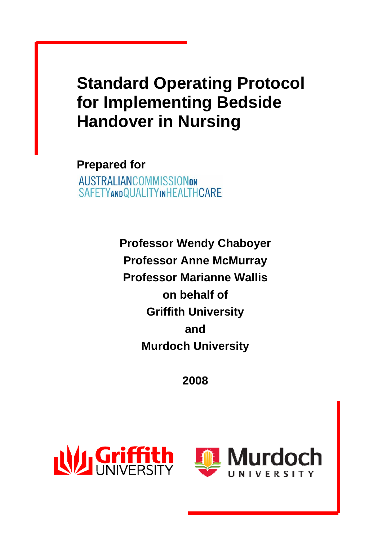# **Standard Operating Protocol for Implementing Bedside Handover in Nursing**

**Prepared for AUSTRALIANCOMMISSIONON** SAFETYANDQUALITYINHEALTHCARE

> **Professor Wendy Chaboyer Professor Anne McMurray Professor Marianne Wallis on behalf of Griffith University and Murdoch University**

> > **2008**



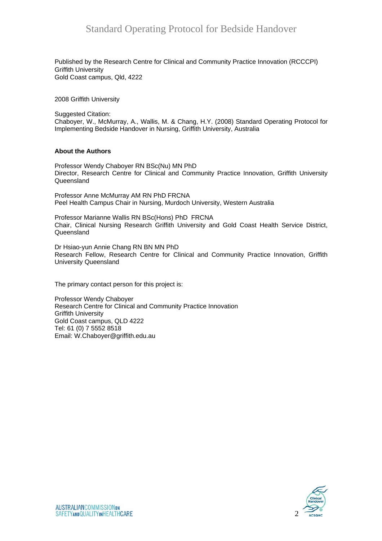Published by the Research Centre for Clinical and Community Practice Innovation (RCCCPI) Griffith University Gold Coast campus, Qld, 4222

2008 Griffith University

Suggested Citation: Chaboyer, W., McMurray, A., Wallis, M. & Chang, H.Y. (2008) Standard Operating Protocol for Implementing Bedside Handover in Nursing, Griffith University, Australia

#### **About the Authors**

Professor Wendy Chaboyer RN BSc(Nu) MN PhD Director, Research Centre for Clinical and Community Practice Innovation, Griffith University Queensland

Professor Anne McMurray AM RN PhD FRCNA Peel Health Campus Chair in Nursing, Murdoch University, Western Australia

Professor Marianne Wallis RN BSc(Hons) PhD FRCNA Chair, Clinical Nursing Research Griffith University and Gold Coast Health Service District, Queensland

Dr Hsiao-yun Annie Chang RN BN MN PhD Research Fellow, Research Centre for Clinical and Community Practice Innovation, Griffith University Queensland

The primary contact person for this project is:

Professor Wendy Chaboyer Research Centre for Clinical and Community Practice Innovation Griffith University Gold Coast campus, QLD 4222 Tel: 61 (0) 7 5552 8518 Email: W.Chaboyer@griffith.edu.au

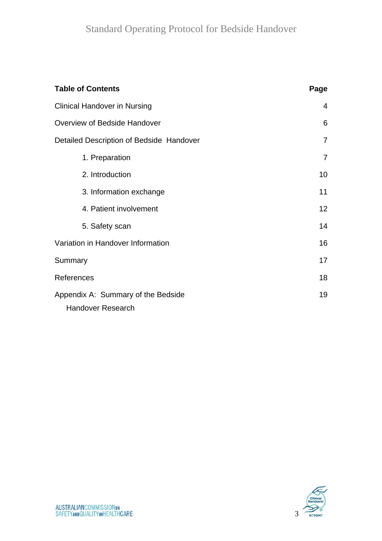| <b>Table of Contents</b>                                       | Page            |
|----------------------------------------------------------------|-----------------|
| <b>Clinical Handover in Nursing</b>                            | 4               |
| Overview of Bedside Handover                                   | 6               |
| Detailed Description of Bedside Handover                       | $\overline{7}$  |
| 1. Preparation                                                 | $\overline{7}$  |
| 2. Introduction                                                | 10              |
| 3. Information exchange                                        | 11              |
| 4. Patient involvement                                         | 12 <sub>2</sub> |
| 5. Safety scan                                                 | 14              |
| Variation in Handover Information                              | 16              |
| Summary                                                        | 17              |
| References                                                     | 18              |
| Appendix A: Summary of the Bedside<br><b>Handover Research</b> | 19              |

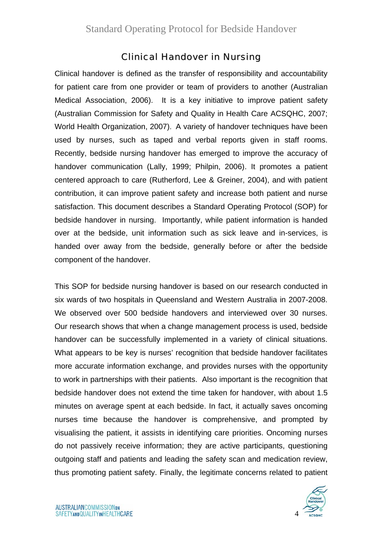### Clinical Handover in Nursing

Clinical handover is defined as the transfer of responsibility and accountability for patient care from one provider or team of providers to another (Australian Medical Association, 2006). It is a key initiative to improve patient safety (Australian Commission for Safety and Quality in Health Care ACSQHC, 2007; World Health Organization, 2007). A variety of handover techniques have been used by nurses, such as taped and verbal reports given in staff rooms. Recently, bedside nursing handover has emerged to improve the accuracy of handover communication (Lally, 1999; Philpin, 2006). It promotes a patient centered approach to care (Rutherford, Lee & Greiner, 2004), and with patient contribution, it can improve patient safety and increase both patient and nurse satisfaction. This document describes a Standard Operating Protocol (SOP) for bedside handover in nursing. Importantly, while patient information is handed over at the bedside, unit information such as sick leave and in-services, is handed over away from the bedside, generally before or after the bedside component of the handover.

This SOP for bedside nursing handover is based on our research conducted in six wards of two hospitals in Queensland and Western Australia in 2007-2008. We observed over 500 bedside handovers and interviewed over 30 nurses. Our research shows that when a change management process is used, bedside handover can be successfully implemented in a variety of clinical situations. What appears to be key is nurses' recognition that bedside handover facilitates more accurate information exchange, and provides nurses with the opportunity to work in partnerships with their patients. Also important is the recognition that bedside handover does not extend the time taken for handover, with about 1.5 minutes on average spent at each bedside. In fact, it actually saves oncoming nurses time because the handover is comprehensive, and prompted by visualising the patient, it assists in identifying care priorities. Oncoming nurses do not passively receive information; they are active participants, questioning outgoing staff and patients and leading the safety scan and medication review, thus promoting patient safety. Finally, the legitimate concerns related to patient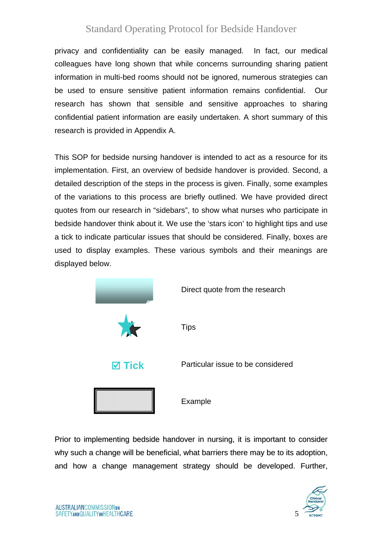privacy and confidentiality can be easily managed. In fact, our medical colleagues have long shown that while concerns surrounding sharing patient information in multi-bed rooms should not be ignored, numerous strategies can be used to ensure sensitive patient information remains confidential. Our research has shown that sensible and sensitive approaches to sharing confidential patient information are easily undertaken. A short summary of this research is provided in Appendix A.

This SOP for bedside nursing handover is intended to act as a resource for its implementation. First, an overview of bedside handover is provided. Second, a detailed description of the steps in the process is given. Finally, some examples of the variations to this process are briefly outlined. We have provided direct quotes from our research in "sidebars", to show what nurses who participate in bedside handover think about it. We use the 'stars icon' to highlight tips and use a tick to indicate particular issues that should be considered. Finally, boxes are used to display examples. These various symbols and their meanings are displayed below.



Prior to implementing bedside handover in nursing, it is important to consider why such a change will be beneficial, what barriers there may be to its adoption, and how a change management strategy should be developed. Further,

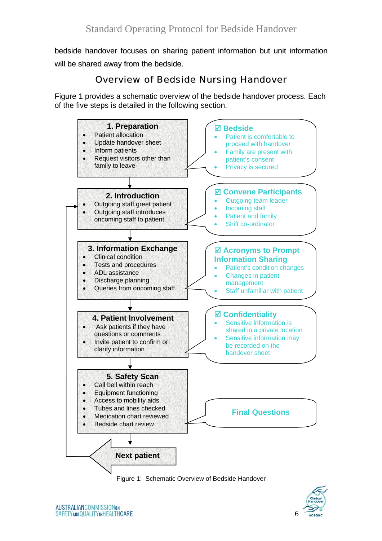bedside handover focuses on sharing patient information but unit information will be shared away from the bedside.

### Overview of Bedside Nursing Handover

Figure 1 provides a schematic overview of the bedside handover process. Each of the five steps is detailed in the following section.





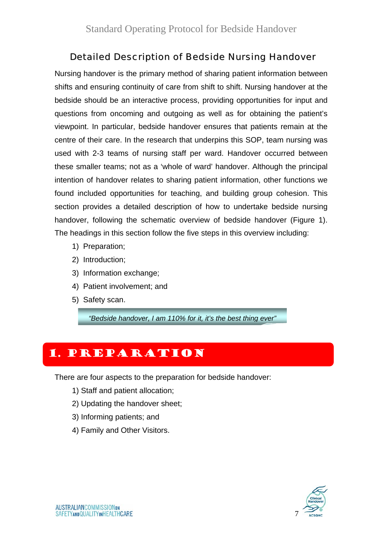### Detailed Description of Bedside Nursing Handover

Nursing handover is the primary method of sharing patient information between shifts and ensuring continuity of care from shift to shift. Nursing handover at the bedside should be an interactive process, providing opportunities for input and questions from oncoming and outgoing as well as for obtaining the patient's viewpoint. In particular, bedside handover ensures that patients remain at the centre of their care. In the research that underpins this SOP, team nursing was used with 2-3 teams of nursing staff per ward. Handover occurred between these smaller teams; not as a 'whole of ward' handover. Although the principal intention of handover relates to sharing patient information, other functions we found included opportunities for teaching, and building group cohesion. This section provides a detailed description of how to undertake bedside nursing handover, following the schematic overview of bedside handover (Figure 1). The headings in this section follow the five steps in this overview including:

- 1) Preparation;
- 2) Introduction;
- 3) Information exchange;
- 4) Patient involvement; and
- 5) Safety scan.

*"Bedside handover, I am 110% for it, it's the best thing ever"*

# 1. Preparation

There are four aspects to the preparation for bedside handover:

- 1) Staff and patient allocation;
- 2) Updating the handover sheet;
- 3) Informing patients; and
- 4) Family and Other Visitors.

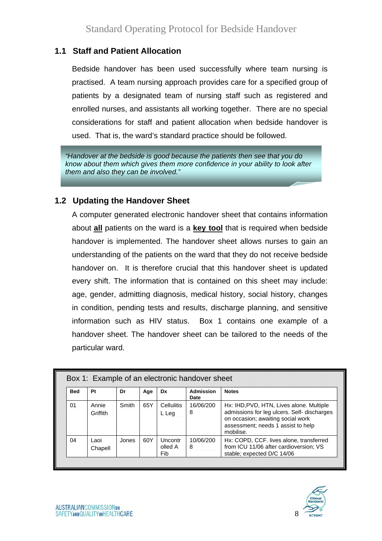#### **1.1 Staff and Patient Allocation**

Bedside handover has been used successfully where team nursing is practised. A team nursing approach provides care for a specified group of patients by a designated team of nursing staff such as registered and enrolled nurses, and assistants all working together. There are no special considerations for staff and patient allocation when bedside handover is used. That is, the ward's standard practice should be followed.

*"Handover at the bedside is good because the patients then see that you do know about them which gives them more confidence in your ability to look after them and also they can be involved."* 

#### **1.2 Updating the Handover Sheet**

A computer generated electronic handover sheet that contains information about **all** patients on the ward is a **key tool** that is required when bedside handover is implemented. The handover sheet allows nurses to gain an understanding of the patients on the ward that they do not receive bedside handover on. It is therefore crucial that this handover sheet is updated every shift. The information that is contained on this sheet may include: age, gender, admitting diagnosis, medical history, social history, changes in condition, pending tests and results, discharge planning, and sensitive information such as HIV status. Box 1 contains one example of a handover sheet. The handover sheet can be tailored to the needs of the particular ward.

| <b>Bed</b> | Pt                | Dr    | Age | Dx                        | <b>Admission</b><br>Date | <b>Notes</b>                                                                                                                                                                    |
|------------|-------------------|-------|-----|---------------------------|--------------------------|---------------------------------------------------------------------------------------------------------------------------------------------------------------------------------|
| 01         | Annie<br>Griffith | Smith | 65Y | Cellulitis<br>L Leg       | 16/06/200<br>8           | Hx: IHD, PVD, HTN, Lives alone. Multiple<br>admissions for leg ulcers. Self- discharges<br>on occasion; awaiting social work<br>assessment; needs 1 assist to help<br>mobilise. |
| 04         | Laoi<br>Chapell   | Jones | 60Y | Uncontr<br>olled A<br>Fib | 10/06/200<br>8           | Hx: COPD, CCF. lives alone, transferred<br>from ICU 11/06 after cardioversion; VS<br>stable; expected D/C 14/06                                                                 |

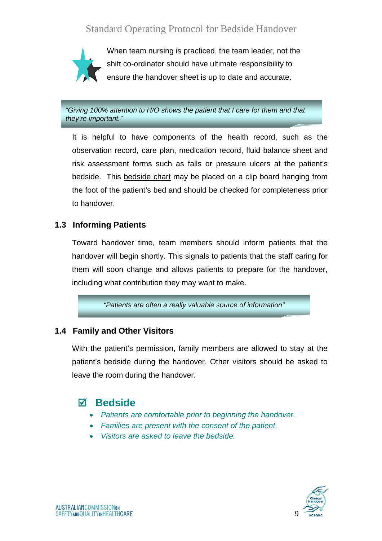

When team nursing is practiced, the team leader, not the shift co-ordinator should have ultimate responsibility to ensure the handover sheet is up to date and accurate.

*"Giving 100% attention to H/O shows the patient that I care for them and that they're important."* 

It is helpful to have components of the health record, such as the observation record, care plan, medication record, fluid balance sheet and risk assessment forms such as falls or pressure ulcers at the patient's bedside. This bedside chart may be placed on a clip board hanging from the foot of the patient's bed and should be checked for completeness prior to handover.

#### **1.3 Informing Patients**

Toward handover time, team members should inform patients that the handover will begin shortly. This signals to patients that the staff caring for them will soon change and allows patients to prepare for the handover, including what contribution they may want to make.

*"Patients are often a really valuable source of information"*

#### **1.4 Family and Other Visitors**

With the patient's permission, family members are allowed to stay at the patient's bedside during the handover. Other visitors should be asked to leave the room during the handover.

#### ; **Bedside**

- *Patients are comfortable prior to beginning the handover.*
- *Families are present with the consent of the patient.*
- *Visitors are asked to leave the bedside.*

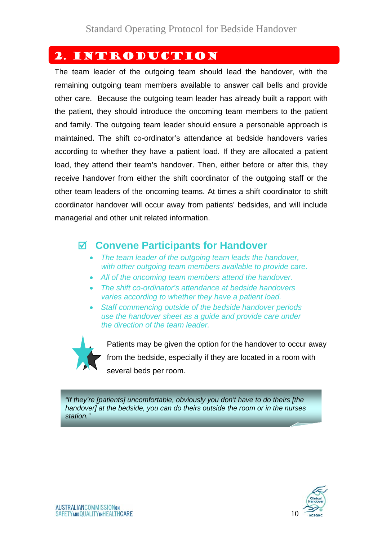## 2. Introduction

The team leader of the outgoing team should lead the handover, with the remaining outgoing team members available to answer call bells and provide other care. Because the outgoing team leader has already built a rapport with the patient, they should introduce the oncoming team members to the patient and family. The outgoing team leader should ensure a personable approach is maintained. The shift co-ordinator's attendance at bedside handovers varies according to whether they have a patient load. If they are allocated a patient load, they attend their team's handover. Then, either before or after this, they receive handover from either the shift coordinator of the outgoing staff or the other team leaders of the oncoming teams. At times a shift coordinator to shift coordinator handover will occur away from patients' bedsides, and will include managerial and other unit related information.

### ; **Convene Participants for Handover**

- *The team leader of the outgoing team leads the handover, with other outgoing team members available to provide care.*
- *All of the oncoming team members attend the handover.*
- *The shift co-ordinator's attendance at bedside handovers varies according to whether they have a patient load.*
- *Staff commencing outside of the bedside handover periods use the handover sheet as a guide and provide care under the direction of the team leader.*



Patients may be given the option for the handover to occur away from the bedside, especially if they are located in a room with several beds per room.

*"If they're [patients] uncomfortable, obviously you don't have to do theirs [the handover] at the bedside, you can do theirs outside the room or in the nurses station."*

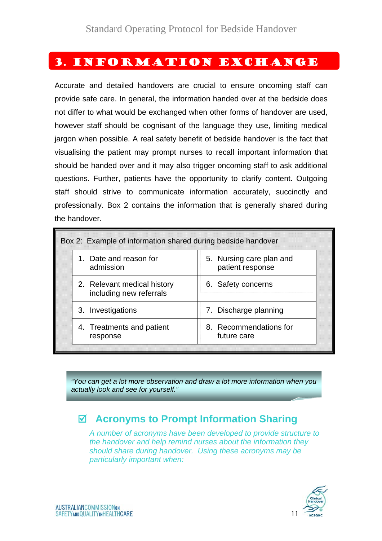### 3. Information Exchange

Accurate and detailed handovers are crucial to ensure oncoming staff can provide safe care. In general, the information handed over at the bedside does not differ to what would be exchanged when other forms of handover are used, however staff should be cognisant of the language they use, limiting medical jargon when possible. A real safety benefit of bedside handover is the fact that visualising the patient may prompt nurses to recall important information that should be handed over and it may also trigger oncoming staff to ask additional questions. Further, patients have the opportunity to clarify content. Outgoing staff should strive to communicate information accurately, succinctly and professionally. Box 2 contains the information that is generally shared during the handover.

| Box 2: Example of information shared during bedside handover |                                              |
|--------------------------------------------------------------|----------------------------------------------|
| 1. Date and reason for<br>admission                          | 5. Nursing care plan and<br>patient response |
| 2. Relevant medical history<br>including new referrals       | 6. Safety concerns                           |
| 3. Investigations                                            | 7. Discharge planning                        |
| 4. Treatments and patient<br>response                        | 8. Recommendations for<br>future care        |

*"You can get a lot more observation and draw a lot more information when you actually look and see for yourself."*

# ; **Acronyms to Prompt Information Sharing**

*A number of acronyms have been developed to provide structure to the handover and help remind nurses about the information they should share during handover. Using these acronyms may be particularly important when:* 

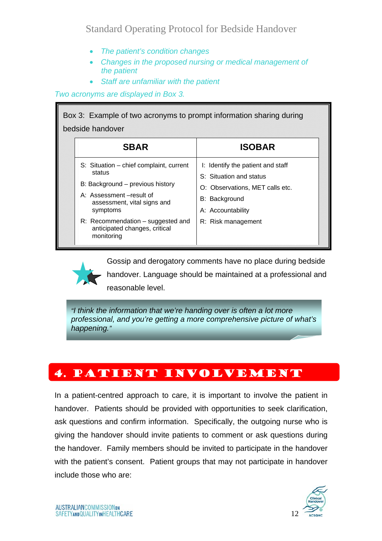- *The patient's condition changes*
- *Changes in the proposed nursing or medical management of the patient*
- *Staff are unfamiliar with the patient*

*Two acronyms are displayed in Box 3.* 

| Box 3: Example of two acronyms to prompt information sharing during<br>bedside handover                                                                                                                                                         |                                                                                                                                                             |
|-------------------------------------------------------------------------------------------------------------------------------------------------------------------------------------------------------------------------------------------------|-------------------------------------------------------------------------------------------------------------------------------------------------------------|
| <b>SBAR</b>                                                                                                                                                                                                                                     | <b>ISOBAR</b>                                                                                                                                               |
| S: Situation – chief complaint, current<br>status<br>B: Background - previous history<br>A: Assessment-result of<br>assessment, vital signs and<br>symptoms<br>R: Recommendation - suggested and<br>anticipated changes, critical<br>monitoring | I: Identify the patient and staff<br>S: Situation and status<br>O: Observations, MET calls etc.<br>B: Background<br>A: Accountability<br>R: Risk management |

Gossip and derogatory comments have no place during bedside handover. Language should be maintained at a professional and

reasonable level.

*"I think the information that we're handing over is often a lot more professional, and you're getting a more comprehensive picture of what's happening."*

# 4. Patient Involvement

In a patient-centred approach to care, it is important to involve the patient in handover. Patients should be provided with opportunities to seek clarification, ask questions and confirm information. Specifically, the outgoing nurse who is giving the handover should invite patients to comment or ask questions during the handover. Family members should be invited to participate in the handover with the patient's consent. Patient groups that may not participate in handover include those who are:

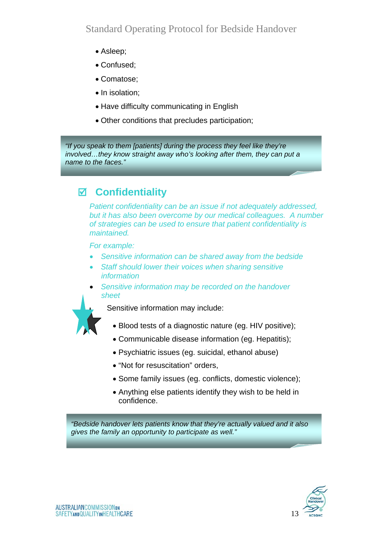- Asleep;
- Confused;
- Comatose;
- In isolation;
- Have difficulty communicating in English
- Other conditions that precludes participation;

*"If you speak to them [patients] during the process they feel like they're involved…they know straight away who's looking after them, they can put a name to the faces."*

# ; **Confidentiality**

*Patient confidentiality can be an issue if not adequately addressed, but it has also been overcome by our medical colleagues. A number of strategies can be used to ensure that patient confidentiality is maintained.* 

*For example:* 

- *Sensitive information can be shared away from the bedside*
- *Staff should lower their voices when sharing sensitive information*
- *Sensitive information may be recorded on the handover sheet*



Sensitive information may include:

- Blood tests of a diagnostic nature (eg. HIV positive);
- Communicable disease information (eg. Hepatitis);
- Psychiatric issues (eg. suicidal, ethanol abuse)
- "Not for resuscitation" orders,
- Some family issues (eg. conflicts, domestic violence);
- Anything else patients identify they wish to be held in confidence.

*"Bedside handover lets patients know that they're actually valued and it also gives the family an opportunity to participate as well."*

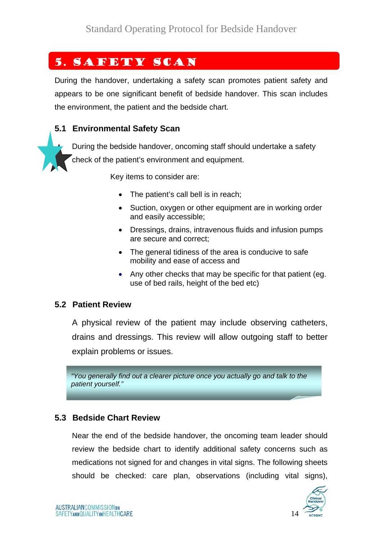# 5. Safety Scan

During the handover, undertaking a safety scan promotes patient safety and appears to be one significant benefit of bedside handover. This scan includes the environment, the patient and the bedside chart.

#### **5.1 Environmental Safety Scan**

During the bedside handover, oncoming staff should undertake a safety check of the patient's environment and equipment.

Key items to consider are:

- The patient's call bell is in reach:
- Suction, oxygen or other equipment are in working order and easily accessible;
- Dressings, drains, intravenous fluids and infusion pumps are secure and correct;
- The general tidiness of the area is conducive to safe mobility and ease of access and
- Any other checks that may be specific for that patient (eg. use of bed rails, height of the bed etc)

#### **5.2 Patient Review**

A physical review of the patient may include observing catheters, drains and dressings. This review will allow outgoing staff to better explain problems or issues.

*"You generally find out a clearer picture once you actually go and talk to the patient yourself."*

#### **5.3 Bedside Chart Review**

Near the end of the bedside handover, the oncoming team leader should review the bedside chart to identify additional safety concerns such as medications not signed for and changes in vital signs. The following sheets should be checked: care plan, observations (including vital signs),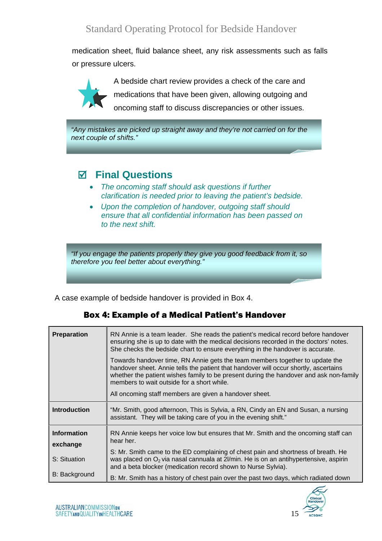medication sheet, fluid balance sheet, any risk assessments such as falls or pressure ulcers.



A bedside chart review provides a check of the care and medications that have been given, allowing outgoing and oncoming staff to discuss discrepancies or other issues.

*"Any mistakes are picked up straight away and they're not carried on for the next couple of shifts."*

# ; **Final Questions**

- *The oncoming staff should ask questions if further clarification is needed prior to leaving the patient's bedside.*
- *Upon the completion of handover, outgoing staff should ensure that all confidential information has been passed on to the next shift.*

*"If you engage the patients properly they give you good feedback from it, so therefore you feel better about everything."* 

A case example of bedside handover is provided in Box 4.

| <b>Preparation</b>   | RN Annie is a team leader. She reads the patient's medical record before handover<br>ensuring she is up to date with the medical decisions recorded in the doctors' notes.<br>She checks the bedside chart to ensure everything in the handover is accurate.<br>Towards handover time, RN Annie gets the team members together to update the<br>handover sheet. Annie tells the patient that handover will occur shortly, ascertains<br>whether the patient wishes family to be present during the handover and ask non-family<br>members to wait outside for a short while.<br>All oncoming staff members are given a handover sheet. |
|----------------------|----------------------------------------------------------------------------------------------------------------------------------------------------------------------------------------------------------------------------------------------------------------------------------------------------------------------------------------------------------------------------------------------------------------------------------------------------------------------------------------------------------------------------------------------------------------------------------------------------------------------------------------|
| <b>Introduction</b>  | "Mr. Smith, good afternoon, This is Sylvia, a RN, Cindy an EN and Susan, a nursing                                                                                                                                                                                                                                                                                                                                                                                                                                                                                                                                                     |
|                      | assistant. They will be taking care of you in the evening shift."                                                                                                                                                                                                                                                                                                                                                                                                                                                                                                                                                                      |
| <b>Information</b>   | RN Annie keeps her voice low but ensures that Mr. Smith and the oncoming staff can                                                                                                                                                                                                                                                                                                                                                                                                                                                                                                                                                     |
| exchange             | hear her.                                                                                                                                                                                                                                                                                                                                                                                                                                                                                                                                                                                                                              |
| S: Situation         | S: Mr. Smith came to the ED complaining of chest pain and shortness of breath. He<br>was placed on O <sub>2</sub> via nasal cannuala at 2l/min. He is on an antihypertensive, aspirin<br>and a beta blocker (medication record shown to Nurse Sylvia).                                                                                                                                                                                                                                                                                                                                                                                 |
| <b>B: Background</b> | B: Mr. Smith has a history of chest pain over the past two days, which radiated down                                                                                                                                                                                                                                                                                                                                                                                                                                                                                                                                                   |

#### Box 4: Example of a Medical Patient's Handover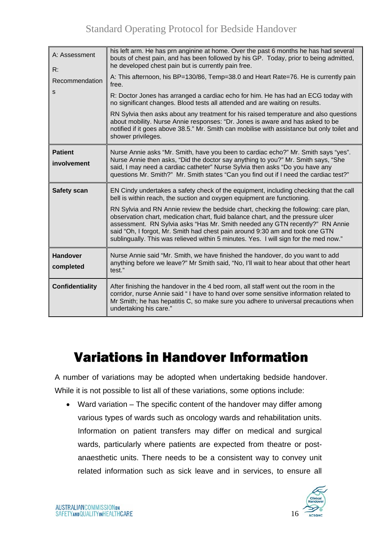| A: Assessment<br>R:           | his left arm. He has prn anginine at home. Over the past 6 months he has had several<br>bouts of chest pain, and has been followed by his GP. Today, prior to being admitted,<br>he developed chest pain but is currently pain free.                                                                                                                                                                                                                                                                                                                                                                |
|-------------------------------|-----------------------------------------------------------------------------------------------------------------------------------------------------------------------------------------------------------------------------------------------------------------------------------------------------------------------------------------------------------------------------------------------------------------------------------------------------------------------------------------------------------------------------------------------------------------------------------------------------|
| Recommendation                | A: This afternoon, his BP=130/86, Temp=38.0 and Heart Rate=76. He is currently pain<br>free.                                                                                                                                                                                                                                                                                                                                                                                                                                                                                                        |
| S                             | R: Doctor Jones has arranged a cardiac echo for him. He has had an ECG today with<br>no significant changes. Blood tests all attended and are waiting on results.                                                                                                                                                                                                                                                                                                                                                                                                                                   |
|                               | RN Sylvia then asks about any treatment for his raised temperature and also questions<br>about mobility. Nurse Annie responses: "Dr. Jones is aware and has asked to be<br>notified if it goes above 38.5." Mr. Smith can mobilise with assistance but only toilet and<br>shower privileges.                                                                                                                                                                                                                                                                                                        |
| <b>Patient</b><br>involvement | Nurse Annie asks "Mr. Smith, have you been to cardiac echo?" Mr. Smith says "yes".<br>Nurse Annie then asks, "Did the doctor say anything to you?" Mr. Smith says, "She<br>said, I may need a cardiac catheter" Nurse Sylvia then asks "Do you have any<br>questions Mr. Smith?" Mr. Smith states "Can you find out if I need the cardiac test?"                                                                                                                                                                                                                                                    |
| <b>Safety scan</b>            | EN Cindy undertakes a safety check of the equipment, including checking that the call<br>bell is within reach, the suction and oxygen equipment are functioning.<br>RN Sylvia and RN Annie review the bedside chart, checking the following: care plan,<br>observation chart, medication chart, fluid balance chart, and the pressure ulcer<br>assessment. RN Sylvia asks "Has Mr. Smith needed any GTN recently?" RN Annie<br>said "Oh, I forgot, Mr. Smith had chest pain around 9:30 am and took one GTN<br>sublingually. This was relieved within 5 minutes. Yes. I will sign for the med now." |
| <b>Handover</b><br>completed  | Nurse Annie said "Mr. Smith, we have finished the handover, do you want to add<br>anything before we leave?" Mr Smith said, "No, I'll wait to hear about that other heart<br>test."                                                                                                                                                                                                                                                                                                                                                                                                                 |
| <b>Confidentiality</b>        | After finishing the handover in the 4 bed room, all staff went out the room in the<br>corridor, nurse Annie said "I have to hand over some sensitive information related to<br>Mr Smith; he has hepatitis C, so make sure you adhere to universal precautions when<br>undertaking his care."                                                                                                                                                                                                                                                                                                        |

# Variations in Handover Information

A number of variations may be adopted when undertaking bedside handover. While it is not possible to list all of these variations, some options include:

• Ward variation – The specific content of the handover may differ among various types of wards such as oncology wards and rehabilitation units. Information on patient transfers may differ on medical and surgical wards, particularly where patients are expected from theatre or postanaesthetic units. There needs to be a consistent way to convey unit related information such as sick leave and in services, to ensure all

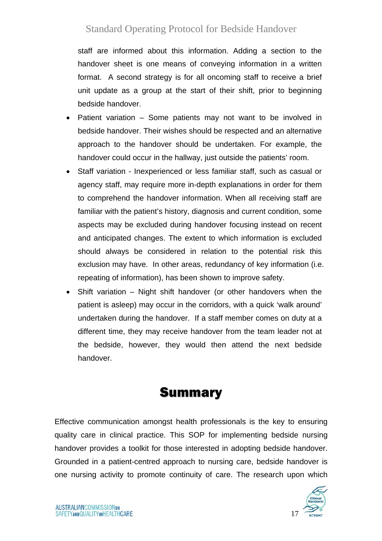staff are informed about this information. Adding a section to the handover sheet is one means of conveying information in a written format. A second strategy is for all oncoming staff to receive a brief unit update as a group at the start of their shift, prior to beginning bedside handover.

- Patient variation Some patients may not want to be involved in bedside handover. Their wishes should be respected and an alternative approach to the handover should be undertaken. For example, the handover could occur in the hallway, just outside the patients' room.
- Staff variation Inexperienced or less familiar staff, such as casual or agency staff, may require more in-depth explanations in order for them to comprehend the handover information. When all receiving staff are familiar with the patient's history, diagnosis and current condition, some aspects may be excluded during handover focusing instead on recent and anticipated changes. The extent to which information is excluded should always be considered in relation to the potential risk this exclusion may have. In other areas, redundancy of key information (i.e. repeating of information), has been shown to improve safety.
- Shift variation Night shift handover (or other handovers when the patient is asleep) may occur in the corridors, with a quick 'walk around' undertaken during the handover. If a staff member comes on duty at a different time, they may receive handover from the team leader not at the bedside, however, they would then attend the next bedside handover.

# **Summary**

Effective communication amongst health professionals is the key to ensuring quality care in clinical practice. This SOP for implementing bedside nursing handover provides a toolkit for those interested in adopting bedside handover. Grounded in a patient-centred approach to nursing care, bedside handover is one nursing activity to promote continuity of care. The research upon which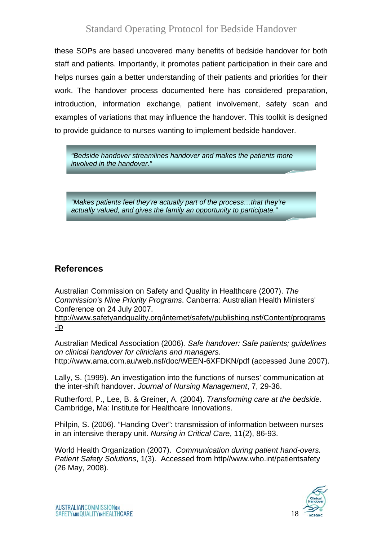these SOPs are based uncovered many benefits of bedside handover for both staff and patients. Importantly, it promotes patient participation in their care and helps nurses gain a better understanding of their patients and priorities for their work. The handover process documented here has considered preparation, introduction, information exchange, patient involvement, safety scan and examples of variations that may influence the handover. This toolkit is designed to provide guidance to nurses wanting to implement bedside handover.

*"Bedside handover streamlines handover and makes the patients more involved in the handover."*

*"Makes patients feel they're actually part of the process…that they're actually valued, and gives the family an opportunity to participate."*

#### **References**

Australian Commission on Safety and Quality in Healthcare (2007). *The Commission's Nine Priority Programs*. Canberra: Australian Health Ministers' Conference on 24 July 2007.

http://www.safetyandquality.org/internet/safety/publishing.nsf/Content/programs -lp

Australian Medical Association (2006)*. Safe handover: Safe patients; guidelines on clinical handover for clinicians and managers*. http://www.ama.com.au/web.nsf/doc/WEEN-6XFDKN/pdf (accessed June 2007).

Lally, S. (1999). An investigation into the functions of nurses' communication at the inter-shift handover. *Journal of Nursing Management*, 7, 29-36.

Rutherford, P., Lee, B. & Greiner, A. (2004). *Transforming care at the bedside*. Cambridge, Ma: Institute for Healthcare Innovations.

Philpin, S. (2006). "Handing Over": transmission of information between nurses in an intensive therapy unit. *Nursing in Critical Care*, 11(2), 86-93.

World Health Organization (2007). *Communication during patient hand-overs. Patient Safety Solutions*, 1(3). Accessed from http//www.who.int/patientsafety (26 May, 2008).

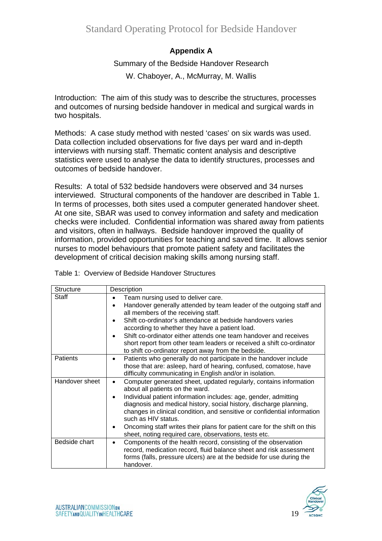#### **Appendix A**

#### Summary of the Bedside Handover Research

W. Chaboyer, A., McMurray, M. Wallis

Introduction: The aim of this study was to describe the structures, processes and outcomes of nursing bedside handover in medical and surgical wards in two hospitals.

Methods: A case study method with nested 'cases' on six wards was used. Data collection included observations for five days per ward and in-depth interviews with nursing staff. Thematic content analysis and descriptive statistics were used to analyse the data to identify structures, processes and outcomes of bedside handover.

Results: A total of 532 bedside handovers were observed and 34 nurses interviewed. Structural components of the handover are described in Table 1. In terms of processes, both sites used a computer generated handover sheet. At one site, SBAR was used to convey information and safety and medication checks were included. Confidential information was shared away from patients and visitors, often in hallways. Bedside handover improved the quality of information, provided opportunities for teaching and saved time. It allows senior nurses to model behaviours that promote patient safety and facilitates the development of critical decision making skills among nursing staff.

Table 1: Overview of Bedside Handover Structures

| <b>Structure</b> | Description                                                                                                                                                                                                                                                                                                                                                                                                                                                                                        |
|------------------|----------------------------------------------------------------------------------------------------------------------------------------------------------------------------------------------------------------------------------------------------------------------------------------------------------------------------------------------------------------------------------------------------------------------------------------------------------------------------------------------------|
| Staff            | Team nursing used to deliver care.<br>Handover generally attended by team leader of the outgoing staff and<br>$\bullet$<br>all members of the receiving staff.<br>Shift co-ordinator's attendance at bedside handovers varies<br>according to whether they have a patient load.<br>Shift co-ordinator either attends one team handover and receives<br>short report from other team leaders or received a shift co-ordinator<br>to shift co-ordinator report away from the bedside.                |
| Patients         | Patients who generally do not participate in the handover include<br>$\bullet$<br>those that are: asleep, hard of hearing, confused, comatose, have<br>difficulty communicating in English and/or in isolation.                                                                                                                                                                                                                                                                                    |
| Handover sheet   | Computer generated sheet, updated regularly, contains information<br>$\bullet$<br>about all patients on the ward.<br>Individual patient information includes: age, gender, admitting<br>diagnosis and medical history, social history, discharge planning,<br>changes in clinical condition, and sensitive or confidential information<br>such as HIV status.<br>Oncoming staff writes their plans for patient care for the shift on this<br>sheet, noting required care, observations, tests etc. |
| Bedside chart    | Components of the health record, consisting of the observation<br>record, medication record, fluid balance sheet and risk assessment<br>forms (falls, pressure ulcers) are at the bedside for use during the<br>handover.                                                                                                                                                                                                                                                                          |